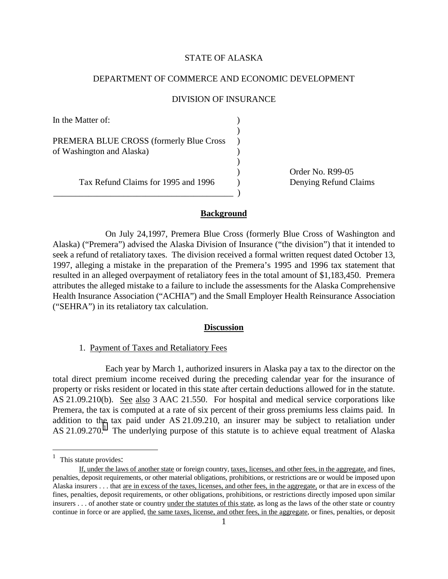# STATE OF ALASKA

### DEPARTMENT OF COMMERCE AND ECONOMIC DEVELOPMENT

#### DIVISION OF INSURANCE

In the Matter of:  $\qquad \qquad$  ) ) PREMERA BLUE CROSS (formerly Blue Cross ) of Washington and Alaska) )

\_\_\_\_\_\_\_\_\_\_\_\_\_\_\_\_\_\_\_\_\_\_\_\_\_\_\_\_\_\_\_\_\_\_\_\_\_\_\_\_\_ )

) Order No. R99-05 Tax Refund Claims for 1995 and 1996 (b) Denying Refund Claims

#### **Background**

)

On July 24,1997, Premera Blue Cross (formerly Blue Cross of Washington and Alaska) ("Premera") advised the Alaska Division of Insurance ("the division") that it intended to seek a refund of retaliatory taxes. The division received a formal written request dated October 13, 1997, alleging a mistake in the preparation of the Premera's 1995 and 1996 tax statement that resulted in an alleged overpayment of retaliatory fees in the total amount of \$1,183,450. Premera attributes the alleged mistake to a failure to include the assessments for the Alaska Comprehensive Health Insurance Association ("ACHIA") and the Small Employer Health Reinsurance Association ("SEHRA") in its retaliatory tax calculation.

#### **Discussion**

1. Payment of Taxes and Retaliatory Fees

Each year by March 1, authorized insurers in Alaska pay a tax to the director on the total direct premium income received during the preceding calendar year for the insurance of property or risks resident or located in this state after certain deductions allowed for in the statute. AS 21.09.210(b). See also 3 AAC 21.550. For hospital and medical service corporations like Premera, the tax is computed at a rate of six percent of their gross premiums less claims paid. In addition to the tax paid under AS 21.09.210, an insurer may be subject to retaliation under AS  $21.09.270$ .<sup>1</sup> The underlying purpose of this statute is to achieve equal treatment of Alaska

 $\overline{a}$ 

 $<sup>1</sup>$  This statute provides:</sup>

If, under the laws of another state or foreign country, taxes, licenses, and other fees, in the aggregate, and fines, penalties, deposit requirements, or other material obligations, prohibitions, or restrictions are or would be imposed upon Alaska insurers . . . that are in excess of the taxes, licenses, and other fees, in the aggregate, or that are in excess of the fines, penalties, deposit requirements, or other obligations, prohibitions, or restrictions directly imposed upon similar insurers . . . of another state or country <u>under the statutes of this state</u>, as long as the laws of the other state or country continue in force or are applied, the same taxes, license, and other fees, in the aggregate, or fines, penalties, or deposit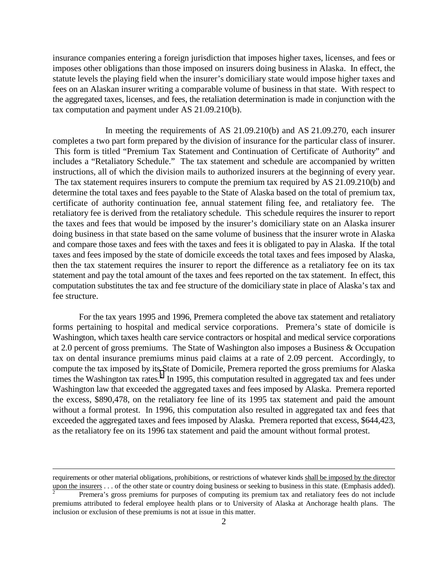insurance companies entering a foreign jurisdiction that imposes higher taxes, licenses, and fees or imposes other obligations than those imposed on insurers doing business in Alaska. In effect, the statute levels the playing field when the insurer's domiciliary state would impose higher taxes and fees on an Alaskan insurer writing a comparable volume of business in that state. With respect to the aggregated taxes, licenses, and fees, the retaliation determination is made in conjunction with the tax computation and payment under AS 21.09.210(b).

In meeting the requirements of AS 21.09.210(b) and AS 21.09.270, each insurer completes a two part form prepared by the division of insurance for the particular class of insurer. This form is titled "Premium Tax Statement and Continuation of Certificate of Authority" and includes a "Retaliatory Schedule." The tax statement and schedule are accompanied by written instructions, all of which the division mails to authorized insurers at the beginning of every year. The tax statement requires insurers to compute the premium tax required by AS 21.09.210(b) and determine the total taxes and fees payable to the State of Alaska based on the total of premium tax, certificate of authority continuation fee, annual statement filing fee, and retaliatory fee. The retaliatory fee is derived from the retaliatory schedule. This schedule requires the insurer to report the taxes and fees that would be imposed by the insurer's domiciliary state on an Alaska insurer doing business in that state based on the same volume of business that the insurer wrote in Alaska and compare those taxes and fees with the taxes and fees it is obligated to pay in Alaska. If the total taxes and fees imposed by the state of domicile exceeds the total taxes and fees imposed by Alaska, then the tax statement requires the insurer to report the difference as a retaliatory fee on its tax statement and pay the total amount of the taxes and fees reported on the tax statement. In effect, this computation substitutes the tax and fee structure of the domiciliary state in place of Alaska's tax and fee structure.

For the tax years 1995 and 1996, Premera completed the above tax statement and retaliatory forms pertaining to hospital and medical service corporations. Premera's state of domicile is Washington, which taxes health care service contractors or hospital and medical service corporations at 2.0 percent of gross premiums. The State of Washington also imposes a Business & Occupation tax on dental insurance premiums minus paid claims at a rate of 2.09 percent. Accordingly, to compute the tax imposed by its State of Domicile, Premera reported the gross premiums for Alaska times the Washington tax rates. $^{2}$  In 1995, this computation resulted in aggregated tax and fees under Washington law that exceeded the aggregated taxes and fees imposed by Alaska. Premera reported the excess, \$890,478, on the retaliatory fee line of its 1995 tax statement and paid the amount without a formal protest. In 1996, this computation also resulted in aggregated tax and fees that exceeded the aggregated taxes and fees imposed by Alaska. Premera reported that excess, \$644,423, as the retaliatory fee on its 1996 tax statement and paid the amount without formal protest.

 $\overline{a}$ 

requirements or other material obligations, prohibitions, or restrictions of whatever kinds shall be imposed by the director upon the insurers . . . of the other state or country doing business or seeking to business in this state. (Emphasis added).

<sup>2</sup> Premera's gross premiums for purposes of computing its premium tax and retaliatory fees do not include premiums attributed to federal employee health plans or to University of Alaska at Anchorage health plans. The inclusion or exclusion of these premiums is not at issue in this matter.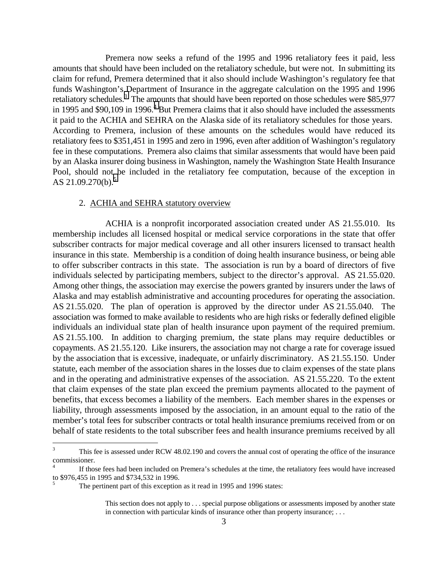Premera now seeks a refund of the 1995 and 1996 retaliatory fees it paid, less amounts that should have been included on the retaliatory schedule, but were not. In submitting its claim for refund, Premera determined that it also should include Washington's regulatory fee that funds Washington's Department of Insurance in the aggregate calculation on the 1995 and 1996 retaliatory schedules.<sup>3</sup> The amounts that should have been reported on those schedules were \$85,977 in 1995 and \$90,109 in 1996.<sup>4</sup> But Premera claims that it also should have included the assessments it paid to the ACHIA and SEHRA on the Alaska side of its retaliatory schedules for those years. According to Premera, inclusion of these amounts on the schedules would have reduced its retaliatory fees to \$351,451 in 1995 and zero in 1996, even after addition of Washington's regulatory fee in these computations. Premera also claims that similar assessments that would have been paid by an Alaska insurer doing business in Washington, namely the Washington State Health Insurance Pool, should not be included in the retaliatory fee computation, because of the exception in AS  $21.09.270(b)$ .<sup>5</sup>

### 2. ACHIA and SEHRA statutory overview

ACHIA is a nonprofit incorporated association created under AS 21.55.010. Its membership includes all licensed hospital or medical service corporations in the state that offer subscriber contracts for major medical coverage and all other insurers licensed to transact health insurance in this state. Membership is a condition of doing health insurance business, or being able to offer subscriber contracts in this state. The association is run by a board of directors of five individuals selected by participating members, subject to the director's approval. AS 21.55.020. Among other things, the association may exercise the powers granted by insurers under the laws of Alaska and may establish administrative and accounting procedures for operating the association. AS 21.55.020. The plan of operation is approved by the director under AS 21.55.040. The association was formed to make available to residents who are high risks or federally defined eligible individuals an individual state plan of health insurance upon payment of the required premium. AS 21.55.100. In addition to charging premium, the state plans may require deductibles or copayments. AS 21.55.120. Like insurers, the association may not charge a rate for coverage issued by the association that is excessive, inadequate, or unfairly discriminatory. AS 21.55.150. Under statute, each member of the association shares in the losses due to claim expenses of the state plans and in the operating and administrative expenses of the association. AS 21.55.220. To the extent that claim expenses of the state plan exceed the premium payments allocated to the payment of benefits, that excess becomes a liability of the members. Each member shares in the expenses or liability, through assessments imposed by the association, in an amount equal to the ratio of the member's total fees for subscriber contracts or total health insurance premiums received from or on behalf of state residents to the total subscriber fees and health insurance premiums received by all

 3 This fee is assessed under RCW 48.02.190 and covers the annual cost of operating the office of the insurance commissioner.

<sup>4</sup> If those fees had been included on Premera's schedules at the time, the retaliatory fees would have increased to \$976,455 in 1995 and \$734,532 in 1996.

<sup>5</sup> The pertinent part of this exception as it read in 1995 and 1996 states:

This section does not apply to . . . special purpose obligations or assessments imposed by another state in connection with particular kinds of insurance other than property insurance; . . .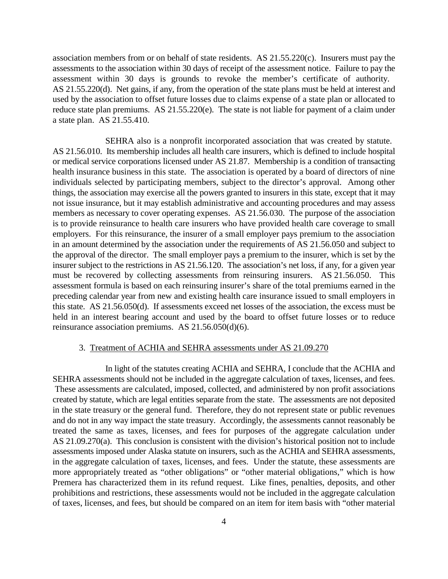association members from or on behalf of state residents. AS 21.55.220(c). Insurers must pay the assessments to the association within 30 days of receipt of the assessment notice. Failure to pay the assessment within 30 days is grounds to revoke the member's certificate of authority. AS 21.55.220(d). Net gains, if any, from the operation of the state plans must be held at interest and used by the association to offset future losses due to claims expense of a state plan or allocated to reduce state plan premiums. AS 21.55.220(e). The state is not liable for payment of a claim under a state plan. AS 21.55.410.

SEHRA also is a nonprofit incorporated association that was created by statute. AS 21.56.010. Its membership includes all health care insurers, which is defined to include hospital or medical service corporations licensed under AS 21.87. Membership is a condition of transacting health insurance business in this state. The association is operated by a board of directors of nine individuals selected by participating members, subject to the director's approval. Among other things, the association may exercise all the powers granted to insurers in this state, except that it may not issue insurance, but it may establish administrative and accounting procedures and may assess members as necessary to cover operating expenses. AS 21.56.030. The purpose of the association is to provide reinsurance to health care insurers who have provided health care coverage to small employers. For this reinsurance, the insurer of a small employer pays premium to the association in an amount determined by the association under the requirements of AS 21.56.050 and subject to the approval of the director. The small employer pays a premium to the insurer, which is set by the insurer subject to the restrictions in AS 21.56.120. The association's net loss, if any, for a given year must be recovered by collecting assessments from reinsuring insurers. AS 21.56.050. This assessment formula is based on each reinsuring insurer's share of the total premiums earned in the preceding calendar year from new and existing health care insurance issued to small employers in this state. AS 21.56.050(d). If assessments exceed net losses of the association, the excess must be held in an interest bearing account and used by the board to offset future losses or to reduce reinsurance association premiums. AS 21.56.050(d)(6).

#### 3. Treatment of ACHIA and SEHRA assessments under AS 21.09.270

In light of the statutes creating ACHIA and SEHRA, I conclude that the ACHIA and SEHRA assessments should not be included in the aggregate calculation of taxes, licenses, and fees. These assessments are calculated, imposed, collected, and administered by non profit associations created by statute, which are legal entities separate from the state. The assessments are not deposited in the state treasury or the general fund. Therefore, they do not represent state or public revenues and do not in any way impact the state treasury. Accordingly, the assessments cannot reasonably be treated the same as taxes, licenses, and fees for purposes of the aggregate calculation under AS 21.09.270(a). This conclusion is consistent with the division's historical position not to include assessments imposed under Alaska statute on insurers, such as the ACHIA and SEHRA assessments, in the aggregate calculation of taxes, licenses, and fees. Under the statute, these assessments are more appropriately treated as "other obligations" or "other material obligations," which is how Premera has characterized them in its refund request. Like fines, penalties, deposits, and other prohibitions and restrictions, these assessments would not be included in the aggregate calculation of taxes, licenses, and fees, but should be compared on an item for item basis with "other material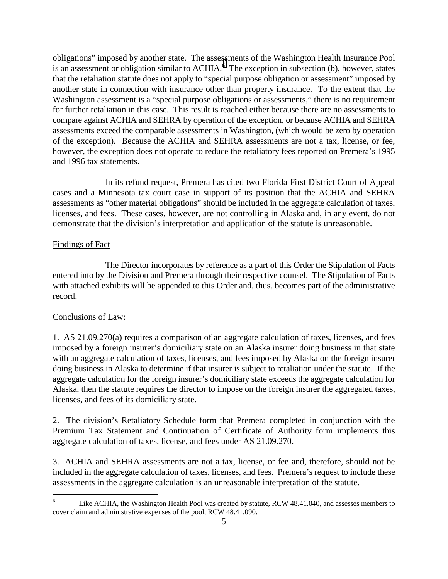obligations" imposed by another state. The assessments of the Washington Health Insurance Pool is an assessment or obligation similar to  $ACHIA<sup>6</sup>$ . The exception in subsection (b), however, states that the retaliation statute does not apply to "special purpose obligation or assessment" imposed by another state in connection with insurance other than property insurance. To the extent that the Washington assessment is a "special purpose obligations or assessments," there is no requirement for further retaliation in this case. This result is reached either because there are no assessments to compare against ACHIA and SEHRA by operation of the exception, or because ACHIA and SEHRA assessments exceed the comparable assessments in Washington, (which would be zero by operation of the exception). Because the ACHIA and SEHRA assessments are not a tax, license, or fee, however, the exception does not operate to reduce the retaliatory fees reported on Premera's 1995 and 1996 tax statements.

In its refund request, Premera has cited two Florida First District Court of Appeal cases and a Minnesota tax court case in support of its position that the ACHIA and SEHRA assessments as "other material obligations" should be included in the aggregate calculation of taxes, licenses, and fees. These cases, however, are not controlling in Alaska and, in any event, do not demonstrate that the division's interpretation and application of the statute is unreasonable.

# Findings of Fact

The Director incorporates by reference as a part of this Order the Stipulation of Facts entered into by the Division and Premera through their respective counsel. The Stipulation of Facts with attached exhibits will be appended to this Order and, thus, becomes part of the administrative record.

# Conclusions of Law:

1. AS 21.09.270(a) requires a comparison of an aggregate calculation of taxes, licenses, and fees imposed by a foreign insurer's domiciliary state on an Alaska insurer doing business in that state with an aggregate calculation of taxes, licenses, and fees imposed by Alaska on the foreign insurer doing business in Alaska to determine if that insurer is subject to retaliation under the statute. If the aggregate calculation for the foreign insurer's domiciliary state exceeds the aggregate calculation for Alaska, then the statute requires the director to impose on the foreign insurer the aggregated taxes, licenses, and fees of its domiciliary state.

2. The division's Retaliatory Schedule form that Premera completed in conjunction with the Premium Tax Statement and Continuation of Certificate of Authority form implements this aggregate calculation of taxes, license, and fees under AS 21.09.270.

3. ACHIA and SEHRA assessments are not a tax, license, or fee and, therefore, should not be included in the aggregate calculation of taxes, licenses, and fees. Premera's request to include these assessments in the aggregate calculation is an unreasonable interpretation of the statute.

 6 Like ACHIA, the Washington Health Pool was created by statute, RCW 48.41.040, and assesses members to cover claim and administrative expenses of the pool, RCW 48.41.090.